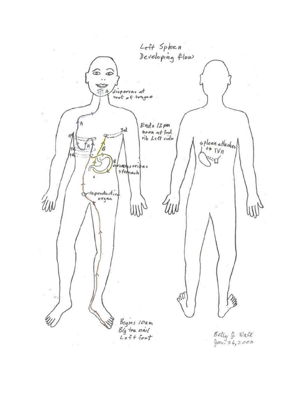